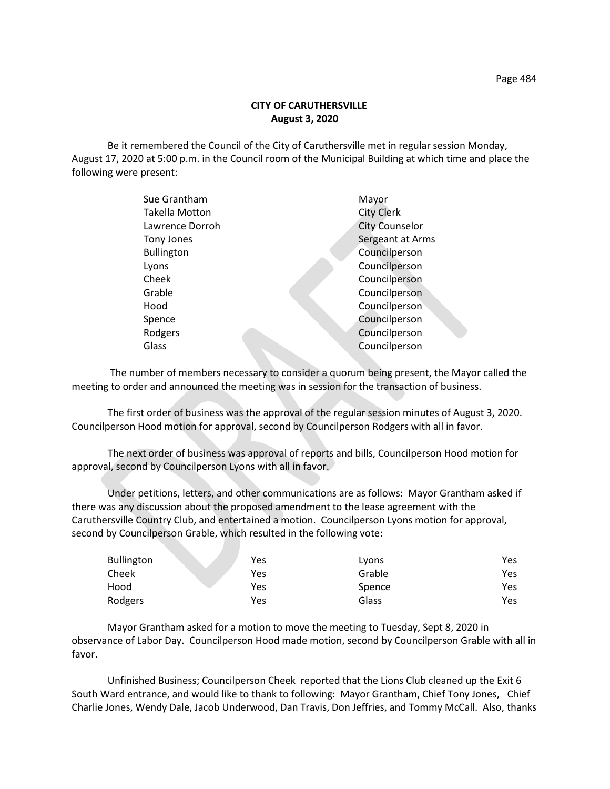Be it remembered the Council of the City of Caruthersville met in regular session Monday, August 17, 2020 at 5:00 p.m. in the Council room of the Municipal Building at which time and place the following were present:

| Sue Grantham          | Mayor                 |
|-----------------------|-----------------------|
| <b>Takella Motton</b> | <b>City Clerk</b>     |
| Lawrence Dorroh       | <b>City Counselor</b> |
| Tony Jones            | Sergeant at Arms      |
| <b>Bullington</b>     | Councilperson         |
| Lyons                 | Councilperson         |
| Cheek                 | Councilperson         |
| Grable                | Councilperson         |
| Hood                  | Councilperson         |
| Spence                | Councilperson         |
| Rodgers               | Councilperson         |
| Glass                 | Councilperson         |
|                       |                       |

 The number of members necessary to consider a quorum being present, the Mayor called the meeting to order and announced the meeting was in session for the transaction of business.

The first order of business was the approval of the regular session minutes of August 3, 2020. Councilperson Hood motion for approval, second by Councilperson Rodgers with all in favor.

The next order of business was approval of reports and bills, Councilperson Hood motion for approval, second by Councilperson Lyons with all in favor.

Under petitions, letters, and other communications are as follows: Mayor Grantham asked if there was any discussion about the proposed amendment to the lease agreement with the Caruthersville Country Club, and entertained a motion. Councilperson Lyons motion for approval, second by Councilperson Grable, which resulted in the following vote:

| <b>Bullington</b> | Yes | Lyons  | Yes |
|-------------------|-----|--------|-----|
| Cheek             | Yes | Grable | Yes |
| Hood              | Yes | Spence | Yes |
| Rodgers           | Yes | Glass  | Yes |

 Mayor Grantham asked for a motion to move the meeting to Tuesday, Sept 8, 2020 in observance of Labor Day. Councilperson Hood made motion, second by Councilperson Grable with all in favor.

Unfinished Business; Councilperson Cheek reported that the Lions Club cleaned up the Exit 6 South Ward entrance, and would like to thank to following: Mayor Grantham, Chief Tony Jones, Chief Charlie Jones, Wendy Dale, Jacob Underwood, Dan Travis, Don Jeffries, and Tommy McCall. Also, thanks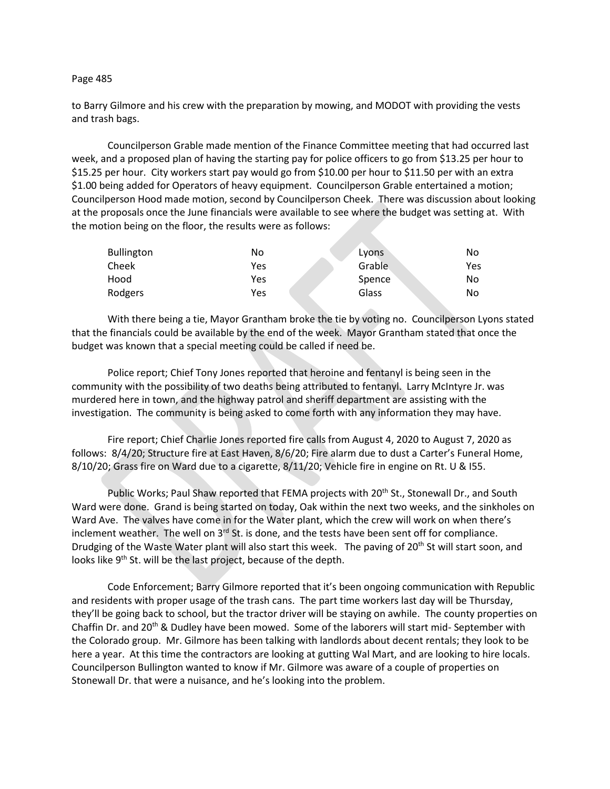## Page 485

to Barry Gilmore and his crew with the preparation by mowing, and MODOT with providing the vests and trash bags.

Councilperson Grable made mention of the Finance Committee meeting that had occurred last week, and a proposed plan of having the starting pay for police officers to go from \$13.25 per hour to \$15.25 per hour. City workers start pay would go from \$10.00 per hour to \$11.50 per with an extra \$1.00 being added for Operators of heavy equipment. Councilperson Grable entertained a motion; Councilperson Hood made motion, second by Councilperson Cheek. There was discussion about looking at the proposals once the June financials were available to see where the budget was setting at. With the motion being on the floor, the results were as follows:

| <b>Bullington</b> | No  | Lyons  | No  |
|-------------------|-----|--------|-----|
| Cheek             | Yes | Grable | Yes |
| Hood              | Yes | Spence | No  |
| Rodgers           | Yes | Glass  | No  |

With there being a tie, Mayor Grantham broke the tie by voting no. Councilperson Lyons stated that the financials could be available by the end of the week. Mayor Grantham stated that once the budget was known that a special meeting could be called if need be.

Police report; Chief Tony Jones reported that heroine and fentanyl is being seen in the community with the possibility of two deaths being attributed to fentanyl. Larry McIntyre Jr. was murdered here in town, and the highway patrol and sheriff department are assisting with the investigation. The community is being asked to come forth with any information they may have.

Fire report; Chief Charlie Jones reported fire calls from August 4, 2020 to August 7, 2020 as follows: 8/4/20; Structure fire at East Haven, 8/6/20; Fire alarm due to dust a Carter's Funeral Home, 8/10/20; Grass fire on Ward due to a cigarette, 8/11/20; Vehicle fire in engine on Rt. U & I55.

Public Works; Paul Shaw reported that FEMA projects with 20<sup>th</sup> St., Stonewall Dr., and South Ward were done. Grand is being started on today, Oak within the next two weeks, and the sinkholes on Ward Ave. The valves have come in for the Water plant, which the crew will work on when there's inclement weather. The well on  $3<sup>rd</sup>$  St. is done, and the tests have been sent off for compliance. Drudging of the Waste Water plant will also start this week. The paving of 20<sup>th</sup> St will start soon, and looks like 9<sup>th</sup> St. will be the last project, because of the depth.

Code Enforcement; Barry Gilmore reported that it's been ongoing communication with Republic and residents with proper usage of the trash cans. The part time workers last day will be Thursday, they'll be going back to school, but the tractor driver will be staying on awhile. The county properties on Chaffin Dr. and 20<sup>th</sup> & Dudley have been mowed. Some of the laborers will start mid- September with the Colorado group. Mr. Gilmore has been talking with landlords about decent rentals; they look to be here a year. At this time the contractors are looking at gutting Wal Mart, and are looking to hire locals. Councilperson Bullington wanted to know if Mr. Gilmore was aware of a couple of properties on Stonewall Dr. that were a nuisance, and he's looking into the problem.